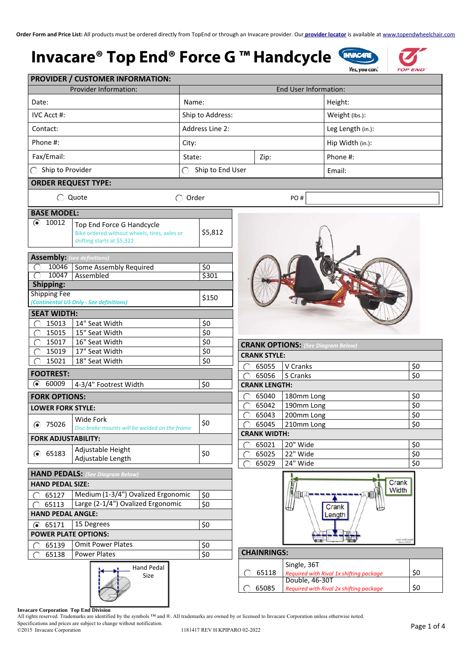### **Invacare® Top End® Force G ™ Handcycle**



|                                    | <b>Provider Information:</b>                                                                            |                       |                      | End User Information:                                     |                                 |
|------------------------------------|---------------------------------------------------------------------------------------------------------|-----------------------|----------------------|-----------------------------------------------------------|---------------------------------|
| Date:                              |                                                                                                         | Name:                 |                      | Height:                                                   |                                 |
| <b>IVC Acct #:</b>                 |                                                                                                         | Ship to Address:      |                      | Weight (lbs.):                                            |                                 |
| Contact:                           | Address Line 2:                                                                                         |                       |                      | Leg Length (in.):                                         |                                 |
| Phone #:                           |                                                                                                         | City:                 |                      | Hip Width (in.):                                          |                                 |
|                                    |                                                                                                         |                       |                      |                                                           |                                 |
| Fax/Email:                         |                                                                                                         | State:                | Zip:                 | Phone #:                                                  |                                 |
| Ship to Provider                   |                                                                                                         | ∩<br>Ship to End User |                      | Email:                                                    |                                 |
| <b>ORDER REQUEST TYPE:</b>         |                                                                                                         |                       |                      |                                                           |                                 |
| ○ Quote                            |                                                                                                         | $\bigcirc$ Order      |                      | PO#                                                       |                                 |
| <b>BASE MODEL:</b>                 |                                                                                                         |                       |                      |                                                           |                                 |
| $\odot$<br>10012                   | Top End Force G Handcycle<br>Bike ordered without wheels, tires, axles or<br>shifting starts at \$5,322 | \$5,812               |                      |                                                           |                                 |
|                                    |                                                                                                         |                       |                      |                                                           |                                 |
| <b>Assembly:</b> (see definitions) | 10046 Some Assembly Required                                                                            | \$0                   |                      |                                                           |                                 |
| 10047                              | Assembled                                                                                               | \$301                 |                      |                                                           |                                 |
| Shipping:                          |                                                                                                         |                       |                      |                                                           |                                 |
| <b>Shipping Fee</b>                |                                                                                                         | \$150                 |                      |                                                           |                                 |
|                                    | (Continental US Only - See definitions)                                                                 |                       |                      |                                                           |                                 |
| <b>SEAT WIDTH:</b>                 |                                                                                                         |                       |                      |                                                           |                                 |
| 15013                              | 14" Seat Width                                                                                          | \$0                   |                      |                                                           |                                 |
| 15015                              | 15" Seat Width                                                                                          | \$0                   |                      |                                                           |                                 |
| 15017                              | 16" Seat Width                                                                                          | \$0                   |                      | <b>CRANK OPTIONS:</b> (See Diagram Below,                 |                                 |
| 15019                              | 17" Seat Width                                                                                          | \$0                   | <b>CRANK STYLE:</b>  |                                                           |                                 |
| 15021                              | 18" Seat Width                                                                                          | \$0                   | 65055                | V Cranks                                                  | \$0                             |
| <b>FOOTREST:</b>                   |                                                                                                         |                       | 65056                | S Cranks                                                  | \$0                             |
| 60009<br>◉                         | 4-3/4" Footrest Width                                                                                   | \$0                   | <b>CRANK LENGTH:</b> |                                                           |                                 |
| <b>FORK OPTIONS:</b>               |                                                                                                         |                       | 65040                | 180mm Long                                                | \$0                             |
| <b>LOWER FORK STYLE:</b>           |                                                                                                         |                       | 65042                | 190mm Long                                                | \$0                             |
|                                    |                                                                                                         |                       | 65043                | 200mm Long                                                | \$0                             |
| ● 75026                            | Wide Fork<br>Disc brake mounts will be welded on the frame                                              | \$0                   | 65045                | 210mm Long                                                | \$0                             |
| <b>FORK ADJUSTABILITY:</b>         |                                                                                                         |                       | <b>CRANK WIDTH:</b>  |                                                           |                                 |
|                                    |                                                                                                         |                       | 65021                | 20" Wide                                                  | \$0                             |
| ● 65183                            | Adjustable Height                                                                                       | \$0                   | 65025                | 22" Wide                                                  | \$0                             |
|                                    | Adjustable Length                                                                                       |                       | 65029                | 24" Wide                                                  | \$0                             |
|                                    | <b>HAND PEDALS:</b> (See Diagram Below)                                                                 |                       |                      |                                                           | Crank                           |
| <b>HAND PEDAL SIZE:</b>            |                                                                                                         |                       |                      |                                                           | Width                           |
| 65127                              | Medium (1-3/4") Ovalized Ergonomic                                                                      | \$0                   |                      |                                                           |                                 |
| 65113                              | Large (2-1/4") Ovalized Ergonomic                                                                       | \$0                   |                      | Crank                                                     |                                 |
| <b>HAND PEDAL ANGLE:</b>           |                                                                                                         |                       |                      | Length                                                    |                                 |
| 65171<br>◉                         | 15 Degrees                                                                                              | \$0                   |                      |                                                           |                                 |
| <b>POWER PLATE OPTIONS:</b>        |                                                                                                         |                       |                      |                                                           | crank width len<br>force r 2010 |
| 65139                              | <b>Omit Power Plates</b>                                                                                | \$0                   |                      |                                                           |                                 |
| 65138                              | <b>Power Plates</b>                                                                                     | $\overline{\xi_0}$    | <b>CHAINRINGS:</b>   |                                                           |                                 |
|                                    | <b>Hand Pedal</b>                                                                                       |                       |                      | Single, 36T                                               |                                 |
|                                    | Size                                                                                                    |                       | 65118                | Required with Rival 1x shifting package<br>Double, 46-30T | \$0                             |
|                                    |                                                                                                         |                       | 65085                | Required with Rival 2x shifting package                   | \$0                             |

**Invacare Corporation Top End Division** 

All rights reserved. Trademarks are identified by the symbols ™ and ®. All trademarks are owned by or licensed to Invacare Corporation unless otherwise noted.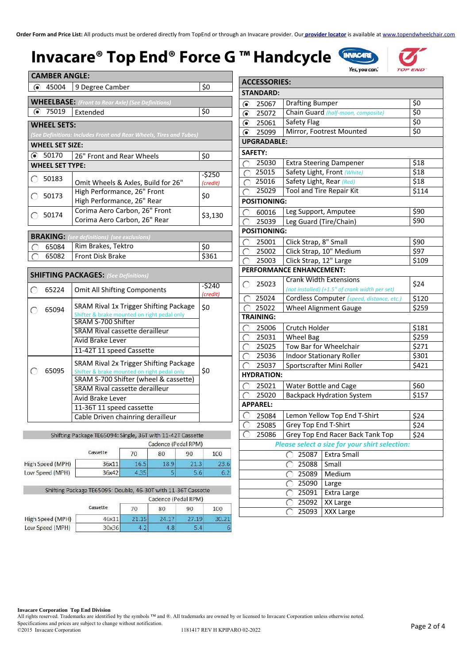## **Invacare® Top End® Force G ™ Han**

| adcycle <sup>C</sup> |  |
|----------------------|--|
|----------------------|--|





| <b>CAMBER ANGLE:</b>                                                      |                                                                    |                    |  |  |  |  |
|---------------------------------------------------------------------------|--------------------------------------------------------------------|--------------------|--|--|--|--|
| 45004<br>(●)                                                              | 9 Degree Camber                                                    | \$0                |  |  |  |  |
|                                                                           |                                                                    |                    |  |  |  |  |
|                                                                           | <b>WHEELBASE:</b> (Front to Rear Axle) (See Definitions)           |                    |  |  |  |  |
| 75019                                                                     | Extended                                                           | \$0                |  |  |  |  |
| <b>WHEEL SETS:</b>                                                        | (See Definitions: Includes Front and Rear Wheels, Tires and Tubes) |                    |  |  |  |  |
| <b>WHEEL SET SIZE:</b>                                                    |                                                                    |                    |  |  |  |  |
| 50170                                                                     | 26" Front and Rear Wheels                                          | \$0                |  |  |  |  |
| <b>WHEEL SET TYPE:</b>                                                    |                                                                    |                    |  |  |  |  |
| 50183                                                                     | Omit Wheels & Axles, Build for 26"                                 | -\$250<br>(credit) |  |  |  |  |
| High Performance, 26" Front<br>50173<br>\$0<br>High Performance, 26" Rear |                                                                    |                    |  |  |  |  |
| 50174                                                                     | Corima Aero Carbon, 26" Front<br>Corima Aero Carbon, 26" Rear      | \$3,130            |  |  |  |  |
|                                                                           |                                                                    |                    |  |  |  |  |

| <b>BRAKING:</b> (see definitions) (see exclusions) |       |
|----------------------------------------------------|-------|
| 65084 Rim Brakes, Tektro                           |       |
| 65082   Front Disk Brake                           | \$361 |

|  |       | <b>SHIFTING PACKAGES:</b> (See Definitions)                                                                                                                                                                                                           |                     |
|--|-------|-------------------------------------------------------------------------------------------------------------------------------------------------------------------------------------------------------------------------------------------------------|---------------------|
|  | 65224 | <b>Omit All Shifting Components</b>                                                                                                                                                                                                                   | $-5240$<br>(credit) |
|  | 65094 | SRAM Rival 1x Trigger Shifting Package<br>Shifter & brake mounted on right pedal only<br>SRAM S-700 Shifter<br>SRAM Rival cassette derailleur<br><b>Avid Brake Lever</b><br>11-42T 11 speed Cassette                                                  | \$0                 |
|  | 65095 | SRAM Rival 2x Trigger Shifting Package<br>Shifter & brake mounted on right pedal only<br>SRAM S-700 Shifter (wheel & cassette)<br>SRAM Rival cassette derailleur<br>Avid Brake Lever<br>11-36T 11 speed cassette<br>Cable Driven chainring derailleur | \$0                 |

| Shifting Package TE65094: Single, 36T with 11-42T Cassette |  |
|------------------------------------------------------------|--|
|                                                            |  |

|                  | Cadence (Pedal RPM) |      |      |      |      |  |
|------------------|---------------------|------|------|------|------|--|
|                  | Cassette            | 70   | 80   | 90   | 100  |  |
| High Speed (MPH) | 36x11               | 16.5 | 18.9 | 21.3 | 23.6 |  |
| Low Speed (MPH)  | 36x421              | 4.35 |      | 5.6  | 6.   |  |

|                  | Shifting Package TE65095: Double, 46-30T with 11-36T Cassette |                     |       |       |       |  |  |  |
|------------------|---------------------------------------------------------------|---------------------|-------|-------|-------|--|--|--|
|                  |                                                               | Cadence (Pedal RPM) |       |       |       |  |  |  |
|                  | Cassette                                                      | 70                  | 80    | 90    | 100   |  |  |  |
| High Speed (MPH) | 46x11                                                         | 21.15               | 24.17 | 27.19 | 30.21 |  |  |  |
| Low Speed (MPH)  | 30x36                                                         | 4.2                 | 4.8   | 5.4   | 6     |  |  |  |

| <b>ACCESSORIES:</b>         |                                                   |                               |                                                |                  |  |  |  |
|-----------------------------|---------------------------------------------------|-------------------------------|------------------------------------------------|------------------|--|--|--|
| <b>STANDARD:</b>            |                                                   |                               |                                                |                  |  |  |  |
| $\circledbullet$            | 25067                                             | <b>Drafting Bumper</b>        |                                                | $\overline{\xi}$ |  |  |  |
| $\odot$                     | 25072                                             |                               | Chain Guard (half-moon, composite)             | $\overline{\xi}$ |  |  |  |
| ◉ 25061                     |                                                   | Safety Flag                   |                                                | \$0              |  |  |  |
| ● 25099                     |                                                   |                               | Mirror, Footrest Mounted                       | \$0              |  |  |  |
| <b>UPGRADABLE:</b>          |                                                   |                               |                                                |                  |  |  |  |
| <b>SAFETY:</b>              |                                                   |                               |                                                |                  |  |  |  |
| ∩                           | 25030                                             |                               | <b>Extra Steering Dampener</b>                 | \$18             |  |  |  |
| C                           | 25015                                             |                               | Safety Light, Front (White)                    | $\overline{$}18$ |  |  |  |
| C                           | 25016                                             | Safety Light, Rear (Red)      |                                                | \$18             |  |  |  |
|                             | 25029                                             |                               | <b>Tool and Tire Repair Kit</b>                | \$114            |  |  |  |
| <b>POSITIONING:</b>         |                                                   |                               |                                                |                  |  |  |  |
| ◯                           | 60016                                             | Leg Support, Amputee          |                                                | \$90             |  |  |  |
|                             | 25039                                             | Leg Guard (Tire/Chain)        |                                                | \$90             |  |  |  |
| <b>POSITIONING:</b>         |                                                   |                               |                                                |                  |  |  |  |
| $\subset$                   | 25001                                             | Click Strap, 8" Small         |                                                | \$90             |  |  |  |
| ⊂                           | 25002                                             |                               | Click Strap, 10" Medium                        | \$97             |  |  |  |
| ∩                           | 25003                                             | Click Strap, 12" Large        |                                                | \$109            |  |  |  |
|                             |                                                   | PERFORMANCE ENHANCEMENT:      |                                                |                  |  |  |  |
| $\bigcirc$                  | 25023                                             | <b>Crank Width Extensions</b> |                                                | \$24             |  |  |  |
|                             |                                                   |                               | (not installed) (+1.5" of crank width per set) |                  |  |  |  |
| $\subset$                   | 25024                                             |                               | Cordless Computer (speed, distance, etc.)      | \$120            |  |  |  |
|                             | 25022                                             |                               | <b>Wheel Alignment Gauge</b>                   | \$259            |  |  |  |
| <b>TRAINING:</b>            |                                                   |                               |                                                |                  |  |  |  |
| C                           | 25006                                             | Crutch Holder                 |                                                | \$181            |  |  |  |
| C                           | 25031                                             | <b>Wheel Bag</b>              |                                                | \$259            |  |  |  |
|                             | 25025                                             |                               | Tow Bar for Wheelchair                         | \$271            |  |  |  |
| $\overline{C}$              | 25036                                             |                               | <b>Indoor Stationary Roller</b>                | \$301            |  |  |  |
| $\overline{\bigcap}$        | 25037                                             |                               | Sportscrafter Mini Roller                      | \$421            |  |  |  |
| <b>HYDRATION:</b>           |                                                   |                               |                                                |                  |  |  |  |
|                             | 25021                                             | Water Bottle and Cage         |                                                | \$60             |  |  |  |
|                             | 25020                                             |                               | <b>Backpack Hydration System</b>               | \$157            |  |  |  |
| <b>APPAREL:</b>             |                                                   |                               |                                                |                  |  |  |  |
|                             | 25084                                             |                               | Lemon Yellow Top End T-Shirt                   | \$24             |  |  |  |
| ⊖                           | 25085                                             | Grey Top End T-Shirt          | \$24                                           |                  |  |  |  |
|                             | 25086<br>Grey Top End Racer Back Tank Top<br>\$24 |                               |                                                |                  |  |  |  |
|                             | Please select a size for your shirt selection:    |                               |                                                |                  |  |  |  |
| 25087<br><b>Extra Small</b> |                                                   |                               |                                                |                  |  |  |  |
|                             |                                                   | 25088                         | Small                                          |                  |  |  |  |
|                             |                                                   | 25089                         | Medium                                         |                  |  |  |  |
| 25090<br>Large              |                                                   |                               |                                                |                  |  |  |  |
|                             | 25091<br>Extra Large                              |                               |                                                |                  |  |  |  |
|                             |                                                   | 25092                         | <b>XX Large</b>                                |                  |  |  |  |
|                             |                                                   | 25093                         | <b>XXX Large</b>                               |                  |  |  |  |

**Invacare Corporation Top End Division** 

All rights reserved. Trademarks are identified by the symbols ™ and ®. All trademarks are owned by or licensed to Invacare Corporation unless otherwise noted. Specifications and prices are subject to change without notification. ©2015 Invacare Corporation 1181417 REV H KPIPARO 02-2022 Page 2 of 4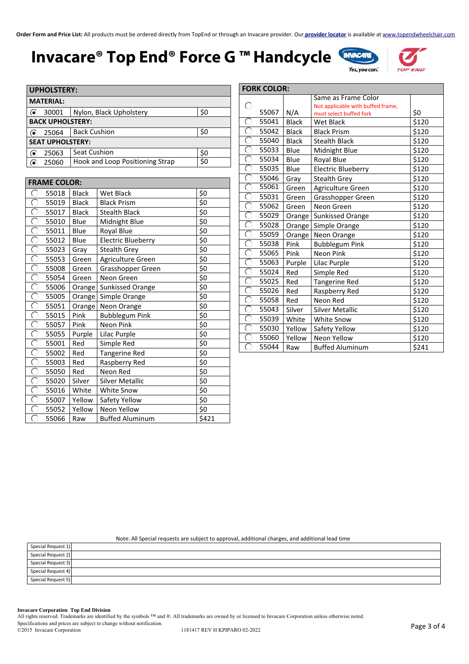### **Invacare® Top End® Force G ™ Handcycle**



**END** 

| <b>UPHOLSTERY:</b>      |                                 |     |  |  |  |  |
|-------------------------|---------------------------------|-----|--|--|--|--|
| <b>MATERIAL:</b>        |                                 |     |  |  |  |  |
| 30001                   | Nylon, Black Upholstery         | \$0 |  |  |  |  |
| <b>BACK UPHOLSTERY:</b> |                                 |     |  |  |  |  |
| 25064                   | <b>Back Cushion</b>             | \$0 |  |  |  |  |
| <b>SEAT UPHOLSTERY:</b> |                                 |     |  |  |  |  |
| 25063                   | <b>Seat Cushion</b>             | \$0 |  |  |  |  |
| 25060                   | Hook and Loop Positioning Strap | \$0 |  |  |  |  |

| <b>FRAME COLOR:</b> |       |              |                           |       |  |
|---------------------|-------|--------------|---------------------------|-------|--|
|                     | 55018 | <b>Black</b> | Wet Black                 | \$0   |  |
|                     | 55019 | <b>Black</b> | <b>Black Prism</b>        | \$0   |  |
|                     | 55017 | <b>Black</b> | <b>Stealth Black</b>      | \$0   |  |
|                     | 55010 | Blue         | Midnight Blue             | \$0   |  |
|                     | 55011 | Blue         | Royal Blue                | \$0   |  |
|                     | 55012 | Blue         | <b>Electric Blueberry</b> | \$0   |  |
|                     | 55023 | Gray         | <b>Stealth Grey</b>       | \$0   |  |
|                     | 55053 | Green        | Agriculture Green         | \$0   |  |
|                     | 55008 | Green        | Grasshopper Green         | \$0   |  |
|                     | 55054 | Green        | Neon Green                | \$0   |  |
|                     | 55006 | Orange       | <b>Sunkissed Orange</b>   | \$0   |  |
|                     | 55005 | Orange       | Simple Orange             | \$0   |  |
|                     | 55051 | Orange       | Neon Orange               | \$0   |  |
|                     | 55015 | Pink         | <b>Bubblegum Pink</b>     | \$0   |  |
|                     | 55057 | Pink         | Neon Pink                 | \$0   |  |
|                     | 55055 | Purple       | Lilac Purple              | \$0   |  |
|                     | 55001 | Red          | Simple Red                | \$0   |  |
|                     | 55002 | Red          | <b>Tangerine Red</b>      | \$0   |  |
|                     | 55003 | Red          | Raspberry Red             | \$0   |  |
|                     | 55050 | Red          | Neon Red                  | \$0   |  |
|                     | 55020 | Silver       | <b>Silver Metallic</b>    | \$0   |  |
|                     | 55016 | White        | <b>White Snow</b>         | \$0   |  |
|                     | 55007 | Yellow       | Safety Yellow             | \$0   |  |
|                     | 55052 | Yellow       | Neon Yellow               | \$0   |  |
|                     | 55066 | Raw          | <b>Buffed Aluminum</b>    | \$421 |  |

| <b>FORK COLOR:</b> |       |              |                                   |       |  |  |
|--------------------|-------|--------------|-----------------------------------|-------|--|--|
|                    |       |              | Same as Frame Color               |       |  |  |
| С                  |       |              | Not applicable with buffed frame, |       |  |  |
|                    | 55067 | N/A          | must select buffed fork           | \$0   |  |  |
| ⊂                  | 55041 | <b>Black</b> | <b>Wet Black</b>                  | \$120 |  |  |
|                    | 55042 | <b>Black</b> | <b>Black Prism</b>                | \$120 |  |  |
| C                  | 55040 | <b>Black</b> | <b>Stealth Black</b>              | \$120 |  |  |
| (                  | 55033 | Blue         | Midnight Blue                     | \$120 |  |  |
|                    | 55034 | Blue         | Royal Blue                        | \$120 |  |  |
| ⊖                  | 55035 | Blue         | <b>Electric Blueberry</b>         | \$120 |  |  |
|                    | 55046 | Gray         | <b>Stealth Grey</b>               | \$120 |  |  |
| ⊂                  | 55061 | Green        | Agriculture Green                 | \$120 |  |  |
|                    | 55031 | Green        | Grasshopper Green                 | \$120 |  |  |
|                    | 55062 | Green        | Neon Green                        | \$120 |  |  |
| C                  | 55029 | Orange       | <b>Sunkissed Orange</b>           | \$120 |  |  |
|                    | 55028 | $O$ range    | Simple Orange                     | \$120 |  |  |
| ◯                  | 55059 | Orange       | Neon Orange                       | \$120 |  |  |
|                    | 55038 | Pink         | <b>Bubblegum Pink</b>             | \$120 |  |  |
|                    | 55065 | Pink         | <b>Neon Pink</b>                  | \$120 |  |  |
| C                  | 55063 | Purple       | Lilac Purple                      | \$120 |  |  |
| C                  | 55024 | Red          | Simple Red                        | \$120 |  |  |
| C                  | 55025 | Red          | Tangerine Red                     | \$120 |  |  |
| ⊖                  | 55026 | Red          | Raspberry Red                     | \$120 |  |  |
|                    | 55058 | Red          | Neon Red                          | \$120 |  |  |
| ⊖                  | 55043 | Silver       | <b>Silver Metallic</b>            | \$120 |  |  |
|                    | 55039 | White        | <b>White Snow</b>                 | \$120 |  |  |
|                    | 55030 | Yellow       | Safety Yellow                     | \$120 |  |  |
| C                  | 55060 | Yellow       | Neon Yellow                       | \$120 |  |  |
|                    | 55044 | Raw          | <b>Buffed Aluminum</b>            | \$241 |  |  |

Note: All Special requests are subject to approval, additional charges, and additional lead time

| Special Request 1) |  |
|--------------------|--|
| Special Request 2) |  |
| Special Request 3) |  |
| Special Request 4) |  |
| Special Request 5) |  |

#### **Invacare Corporation Top End Division**

All rights reserved. Trademarks are identified by the symbols ™ and ®. All trademarks are owned by or licensed to Invacare Corporation unless otherwise noted.